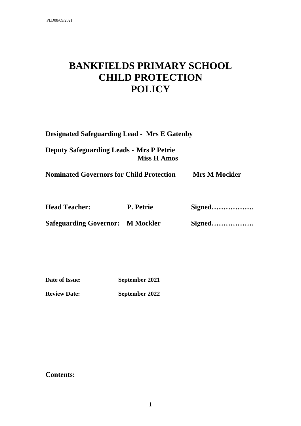# **BANKFIELDS PRIMARY SCHOOL CHILD PROTECTION POLICY**

| <b>Designated Safeguarding Lead - Mrs E Gatenby</b> |                    |                      |
|-----------------------------------------------------|--------------------|----------------------|
| <b>Deputy Safeguarding Leads - Mrs P Petrie</b>     | <b>Miss H Amos</b> |                      |
| <b>Nominated Governors for Child Protection</b>     |                    | <b>Mrs M Mockler</b> |
| <b>Head Teacher:</b>                                | P. Petrie          | Signed               |
| <b>Safeguarding Governor: M Mockler</b>             |                    | Signed               |

| Date of Issue: | September 2021 |
|----------------|----------------|
|                |                |

**Review Date: September 2022**

# **Contents:**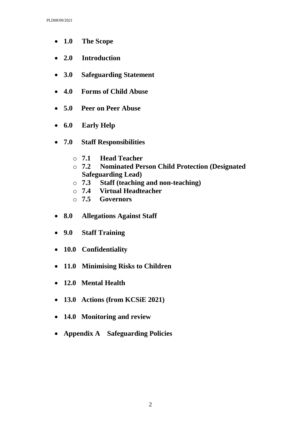- **1.0 The Scope**
- **2.0 Introduction**
- **3.0 Safeguarding Statement**
- **4.0 Forms of Child Abuse**
- **5.0 Peer on Peer Abuse**
- **6.0 Early Help**
- **7.0 Staff Responsibilities**
	- o **7.1 Head Teacher**
	- o **7.2 Nominated Person Child Protection (Designated Safeguarding Lead)**
	- o **7.3 Staff (teaching and non-teaching)**
	- o **7.4 Virtual Headteacher**
	- o **7.5 Governors**
- **8.0 Allegations Against Staff**
- **9.0 Staff Training**
- **10.0 Confidentiality**
- **11.0 Minimising Risks to Children**
- **12.0 Mental Health**
- **13.0 Actions (from KCSiE 2021)**
- **14.0 Monitoring and review**
- **Appendix A Safeguarding Policies**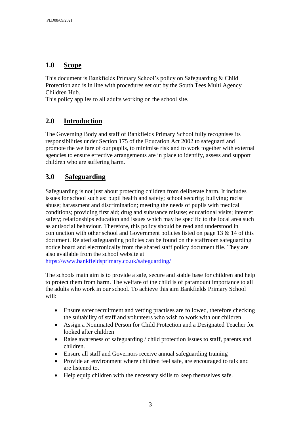## **1.0 Scope**

This document is Bankfields Primary School's policy on Safeguarding & Child Protection and is in line with procedures set out by the South Tees Multi Agency Children Hub.

This policy applies to all adults working on the school site.

# **2.0 Introduction**

The Governing Body and staff of Bankfields Primary School fully recognises its responsibilities under Section 175 of the Education Act 2002 to safeguard and promote the welfare of our pupils, to minimise risk and to work together with external agencies to ensure effective arrangements are in place to identify, assess and support children who are suffering harm.

## **3.0 Safeguarding**

Safeguarding is not just about protecting children from deliberate harm. It includes issues for school such as: pupil health and safety; school security; bullying; racist abuse; harassment and discrimination; meeting the needs of pupils with medical conditions; providing first aid; drug and substance misuse; educational visits; internet safety; relationships education and issues which may be specific to the local area such as antisocial behaviour. Therefore, this policy should be read and understood in conjunction with other school and Government policies listed on page 13  $\&$  14 of this document. Related safeguarding policies can be found on the staffroom safeguarding notice board and electronically from the shared staff policy document file. They are also available from the school website at

<https://www.bankfieldsprimary.co.uk/safeguarding/>

The schools main aim is to provide a safe, secure and stable base for children and help to protect them from harm. The welfare of the child is of paramount importance to all the adults who work in our school. To achieve this aim Bankfields Primary School will:

- Ensure safer recruitment and vetting practises are followed, therefore checking the suitability of staff and volunteers who wish to work with our children.
- Assign a Nominated Person for Child Protection and a Designated Teacher for looked after children
- Raise awareness of safeguarding / child protection issues to staff, parents and children.
- Ensure all staff and Governors receive annual safeguarding training
- Provide an environment where children feel safe, are encouraged to talk and are listened to.
- Help equip children with the necessary skills to keep themselves safe.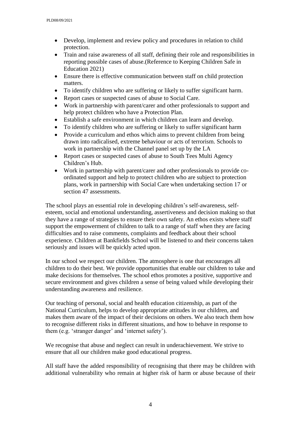- Develop, implement and review policy and procedures in relation to child protection.
- Train and raise awareness of all staff, defining their role and responsibilities in reporting possible cases of abuse.(Reference to Keeping Children Safe in Education 2021)
- Ensure there is effective communication between staff on child protection matters.
- To identify children who are suffering or likely to suffer significant harm.
- Report cases or suspected cases of abuse to Social Care.
- Work in partnership with parent/carer and other professionals to support and help protect children who have a Protection Plan.
- Establish a safe environment in which children can learn and develop.
- To identify children who are suffering or likely to suffer significant harm
- Provide a curriculum and ethos which aims to prevent children from being drawn into radicalised, extreme behaviour or acts of terrorism. Schools to work in partnership with the Channel panel set up by the LA
- Report cases or suspected cases of abuse to South Tees Multi Agency Children's Hub.
- Work in partnership with parent/carer and other professionals to provide coordinated support and help to protect children who are subject to protection plans, work in partnership with Social Care when undertaking section 17 or section 47 assessments.

The school plays an essential role in developing children's self-awareness, selfesteem, social and emotional understanding, assertiveness and decision making so that they have a range of strategies to ensure their own safety. An ethos exists where staff support the empowerment of children to talk to a range of staff when they are facing difficulties and to raise comments, complaints and feedback about their school experience. Children at Bankfields School will be listened to and their concerns taken seriously and issues will be quickly acted upon.

In our school we respect our children. The atmosphere is one that encourages all children to do their best. We provide opportunities that enable our children to take and make decisions for themselves. The school ethos promotes a positive, supportive and secure environment and gives children a sense of being valued while developing their understanding awareness and resilience.

Our teaching of personal, social and health education citizenship, as part of the National Curriculum, helps to develop appropriate attitudes in our children, and makes them aware of the impact of their decisions on others. We also teach them how to recognise different risks in different situations, and how to behave in response to them (e.g. 'stranger danger' and 'internet safety').

We recognise that abuse and neglect can result in underachievement. We strive to ensure that all our children make good educational progress.

All staff have the added responsibility of recognising that there may be children with additional vulnerability who remain at higher risk of harm or abuse because of their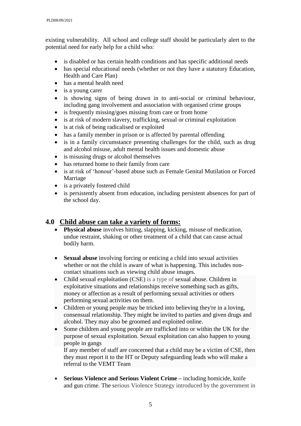existing vulnerability. All school and college staff should be particularly alert to the potential need for early help for a child who:

- is disabled or has certain health conditions and has specific additional needs
- has special educational needs (whether or not they have a statutory Education, Health and Care Plan)
- has a mental health need
- is a young carer
- is showing signs of being drawn in to anti-social or criminal behaviour, including gang involvement and association with organised crime groups
- is frequently missing/goes missing from care or from home
- is at risk of modern slavery, trafficking, sexual or criminal exploitation
- is at risk of being radicalised or exploited
- has a family member in prison or is affected by parental offending
- is in a family circumstance presenting challenges for the child, such as drug and alcohol misuse, adult mental health issues and domestic abuse
- is misusing drugs or alcohol themselves
- has returned home to their family from care
- is at risk of 'honour'-based abuse such as Female Genital Mutilation or Forced Marriage
- is a privately fostered child
- is persistently absent from education, including persistent absences for part of the school day.

## **4.0 Child abuse can take a variety of forms:**

- **Physical abuse** involves hitting, slapping, kicking, misuse of medication, undue restraint, shaking or other treatment of a child that can cause actual bodily harm.
- **Sexual abuse** involving forcing or enticing a child into sexual activities whether or not the child is aware of what is happening. This includes noncontact situations such as viewing child abuse images.
- **Child sexual exploitation (CSE)** is a type of [sexual abuse.](https://www.nspcc.org.uk/preventing-abuse/child-abuse-and-neglect/child-sexual-abuse/) Children in exploitative situations and relationships receive something such as gifts, money or affection as a result of performing sexual activities or others performing sexual activities on them.
- Children or young people may be tricked into believing they're in a loving. consensual relationship. They might be invited to parties and given drugs and alcohol. They may also be [groomed](https://www.nspcc.org.uk/preventing-abuse/child-abuse-and-neglect/grooming/) and exploited [online.](https://www.nspcc.org.uk/preventing-abuse/child-abuse-and-neglect/online-abuse/)
- Some children and young people are [trafficked](https://www.nspcc.org.uk/preventing-abuse/child-abuse-and-neglect/child-trafficking/) into or within the UK for the purpose of sexual exploitation. Sexual exploitation can also happen to [young](https://www.nspcc.org.uk/preventing-abuse/keeping-children-safe/staying-safe-away-from-home/gangs-young-people/)  [people in gangs](https://www.nspcc.org.uk/preventing-abuse/keeping-children-safe/staying-safe-away-from-home/gangs-young-people/)

If any member of staff are concerned that a child may be a victim of CSE, then they must report it to the HT or Deputy safeguarding leads who will make a referral to the VEMT Team

 **Serious Violence and Serious Violent Crime –** including homicide, knife and gun crime. The serious Violence Strategy introduced by the government in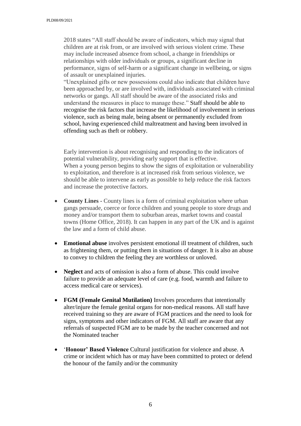2018 states "All staff should be aware of indicators, which may signal that children are at risk from, or are involved with serious violent crime. These may include increased absence from school, a change in friendships or relationships with older individuals or groups, a significant decline in performance, signs of self-harm or a significant change in wellbeing, or signs of assault or unexplained injuries.

"Unexplained gifts or new possessions could also indicate that children have been approached by, or are involved with, individuals associated with criminal networks or gangs. All staff should be aware of the associated risks and understand the measures in place to manage these." Staff should be able to recognise the risk factors that increase the likelihood of involvement in serious violence, such as being male, being absent or permanently excluded from school, having experienced child maltreatment and having been involved in offending such as theft or robbery.

Early intervention is about recognising and responding to the indicators of potential vulnerability, providing early support that is effective. When a young person begins to show the signs of exploitation or vulnerability to exploitation, and therefore is at increased risk from serious violence, we should be able to intervene as early as possible to help reduce the risk factors and increase the protective factors.

- **County Lines -** County lines is a form of criminal exploitation where urban gangs persuade, coerce or force children and young people to store drugs and money and/or transport them to suburban areas, market towns and coastal towns (Home Office, 2018). It can happen in any part of the UK and is against the law and a form of child abuse.
- **Emotional abuse** involves persistent emotional ill treatment of children, such as frightening them, or putting them in situations of danger. It is also an abuse to convey to children the feeling they are worthless or unloved.
- **Neglect** and acts of omission is also a form of abuse. This could involve failure to provide an adequate level of care (e.g. food, warmth and failure to access medical care or services).
- **FGM (Female Genital Mutilation)** Involves procedures that intentionally alter/injure the female genital organs for non-medical reasons. All staff have received training so they are aware of FGM practices and the need to look for signs, symptoms and other indicators of FGM. All staff are aware that any referrals of suspected FGM are to be made by the teacher concerned and not the Nominated teacher
- '**Honour' Based Violence** Cultural justification for violence and abuse. A crime or incident which has or may have been committed to protect or defend the honour of the family and/or the community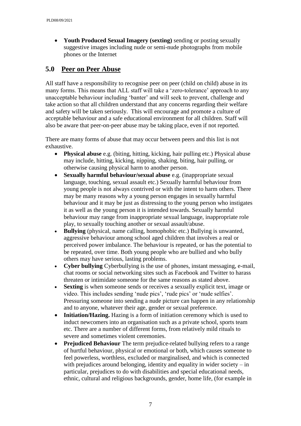**Youth Produced Sexual Imagery (sexting)** sending or posting sexually suggestive images including nude or semi-nude photographs from mobile phones or the Internet

# **5.0 Peer on Peer Abuse**

All staff have a responsibility to recognise peer on peer (child on child) abuse in its many forms. This means that ALL staff will take a 'zero-tolerance' approach to any unacceptable behaviour including 'banter' and will seek to prevent, challenge and take action so that all children understand that any concerns regarding their welfare and safety will be taken seriously. This will encourage and promote a culture of acceptable behaviour and a safe educational environment for all children. Staff will also be aware that peer-on-peer abuse may be taking place, even if not reported.

There are many forms of abuse that may occur between peers and this list is not exhaustive.

- **Physical abuse** e.g. (biting, hitting, kicking, hair pulling etc.) Physical abuse may include, hitting, kicking, nipping, shaking, biting, hair pulling, or otherwise causing physical harm to another person.
- **Sexually harmful behaviour/sexual abuse** e.g. (inappropriate sexual language, touching, sexual assault etc.) Sexually harmful behaviour from young people is not always contrived or with the intent to harm others. There may be many reasons why a young person engages in sexually harmful behaviour and it may be just as distressing to the young person who instigates it as well as the young person it is intended towards. Sexually harmful behaviour may range from inappropriate sexual language, inappropriate role play, to sexually touching another or sexual assault/abuse.
- **Bullying** (physical, name calling, homophobic etc.) Bullying is unwanted, aggressive behaviour among school aged children that involves a real or perceived power imbalance. The behaviour is repeated, or has the potential to be repeated, over time. Both young people who are bullied and who bully others may have serious, lasting problems.
- **Cyber bullying** Cyberbullying is the use of phones, instant messaging, e-mail, chat rooms or social networking sites such as Facebook and Twitter to harass threaten or intimidate someone for the same reasons as stated above.
- **Sexting** is when someone sends or receives a sexually explicit text, image or video. This includes sending 'nude pics', 'rude pics' or 'nude selfies'. Pressuring someone into sending a nude picture can happen in any relationship and to anyone, whatever their age, gender or sexual preference.
- **Initiation/Hazing.** Hazing is a form of initiation ceremony which is used to induct newcomers into an organisation such as a private school, sports team etc. There are a number of different forms, from relatively mild rituals to severe and sometimes violent ceremonies.
- **Prejudiced Behaviour** The term prejudice-related bullying refers to a range of hurtful behaviour, physical or emotional or both, which causes someone to feel powerless, worthless, excluded or marginalised, and which is connected with prejudices around belonging, identity and equality in wider society – in particular, prejudices to do with disabilities and special educational needs, ethnic, cultural and religious backgrounds, gender, home life, (for example in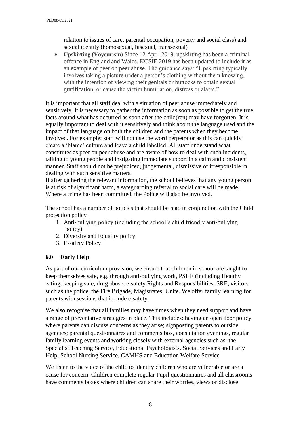relation to issues of care, parental occupation, poverty and social class) and sexual identity (homosexual, bisexual, transsexual)

 **Upskirting (Voyeurism)** Since 12 April 2019, upskirting has been a criminal offence in England and Wales. KCSIE 2019 has been updated to include it as an example of peer on peer abuse. The guidance says: "Upskirting typically involves taking a picture under a person's clothing without them knowing, with the intention of viewing their genitals or buttocks to obtain sexual gratification, or cause the victim humiliation, distress or alarm."

It is important that all staff deal with a situation of peer abuse immediately and sensitively. It is necessary to gather the information as soon as possible to get the true facts around what has occurred as soon after the child(ren) may have forgotten. It is equally important to deal with it sensitively and think about the language used and the impact of that language on both the children and the parents when they become involved. For example; staff will not use the word perpetrator as this can quickly create a 'blame' culture and leave a child labelled. All staff understand what constitutes as peer on peer abuse and are aware of how to deal with such incidents, talking to young people and instigating immediate support in a calm and consistent manner. Staff should not be prejudiced, judgemental, dismissive or irresponsible in dealing with such sensitive matters.

If after gathering the relevant information, the school believes that any young person is at risk of significant harm, a safeguarding referral to social care will be made. Where a crime has been committed, the Police will also be involved.

The school has a number of policies that should be read in conjunction with the Child protection policy

- 1. Anti-bullying policy (including the school's child friendly anti-bullying policy)
- 2. Diversity and Equality policy
- 3. E-safety Policy

#### **6.0 Early Help**

As part of our curriculum provision, we ensure that children in school are taught to keep themselves safe, e.g. through anti-bullying work, PSHE (including Healthy eating, keeping safe, drug abuse, e-safety Rights and Responsibilities, SRE, visitors such as the police, the Fire Brigade, Magistrates, Unite. We offer family learning for parents with sessions that include e-safety.

We also recognise that all families may have times when they need support and have a range of preventative strategies in place. This includes: having an open door policy where parents can discuss concerns as they arise; signposting parents to outside agencies; parental questionnaires and comments box, consultation evenings, regular family learning events and working closely with external agencies such as: the Specialist Teaching Service, Educational Psychologists, Social Services and Early Help, School Nursing Service, CAMHS and Education Welfare Service

We listen to the voice of the child to identify children who are vulnerable or are a cause for concern. Children complete regular Pupil questionnaires and all classrooms have comments boxes where children can share their worries, views or disclose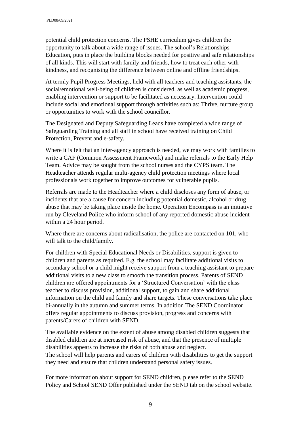potential child protection concerns. The PSHE curriculum gives children the opportunity to talk about a wide range of issues. The school's Relationships Education, puts in place the building blocks needed for positive and safe relationships of all kinds. This will start with family and friends, how to treat each other with kindness, and recognising the difference between online and offline friendships.

At termly Pupil Progress Meetings, held with all teachers and teaching assistants, the social/emotional well-being of children is considered, as well as academic progress, enabling intervention or support to be facilitated as necessary. Intervention could include social and emotional support through activities such as: Thrive, nurture group or opportunities to work with the school councillor.

The Designated and Deputy Safeguarding Leads have completed a wide range of Safeguarding Training and all staff in school have received training on Child Protection, Prevent and e-safety.

Where it is felt that an inter-agency approach is needed, we may work with families to write a CAF (Common Assessment Framework) and make referrals to the Early Help Team. Advice may be sought from the school nurses and the CYPS team. The Headteacher attends regular multi-agency child protection meetings where local professionals work together to improve outcomes for vulnerable pupils.

Referrals are made to the Headteacher where a child discloses any form of abuse, or incidents that are a cause for concern including potential domestic, alcohol or drug abuse that may be taking place inside the home. Operation Encompass is an initiative run by Cleveland Police who inform school of any reported domestic abuse incident within a 24 hour period.

Where there are concerns about radicalisation, the police are contacted on 101, who will talk to the child/family.

For children with Special Educational Needs or Disabilities, support is given to children and parents as required. E.g. the school may facilitate additional visits to secondary school or a child might receive support from a teaching assistant to prepare additional visits to a new class to smooth the transition process. Parents of SEND children are offered appointments for a 'Structured Conversation' with the class teacher to discuss provision, additional support, to gain and share additional information on the child and family and share targets. These conversations take place bi-annually in the autumn and summer terms. In addition The SEND Coordinator offers regular appointments to discuss provision, progress and concerns with parents/Carers of children with SEND.

The available evidence on the extent of abuse among disabled children suggests that disabled children are at increased risk of abuse, and that the presence of multiple disabilities appears to increase the risks of both abuse and neglect. The school will help parents and carers of children with disabilities to get the support they need and ensure that children understand personal safety issues.

For more information about support for SEND children, please refer to the SEND Policy and School SEND Offer published under the SEND tab on the school website.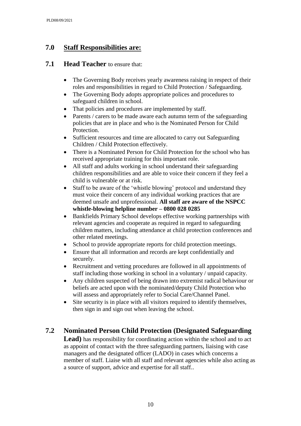# **7.0 Staff Responsibilities are:**

### **7.1 Head Teacher** to ensure that:

- The Governing Body receives yearly awareness raising in respect of their roles and responsibilities in regard to Child Protection / Safeguarding.
- The Governing Body adopts appropriate polices and procedures to safeguard children in school.
- That policies and procedures are implemented by staff.
- Parents / carers to be made aware each autumn term of the safeguarding policies that are in place and who is the Nominated Person for Child Protection.
- Sufficient resources and time are allocated to carry out Safeguarding Children / Child Protection effectively.
- There is a Nominated Person for Child Protection for the school who has received appropriate training for this important role.
- All staff and adults working in school understand their safeguarding children responsibilities and are able to voice their concern if they feel a child is vulnerable or at risk.
- Staff to be aware of the 'whistle blowing' protocol and understand they must voice their concern of any individual working practices that are deemed unsafe and unprofessional. **All staff are aware of the NSPCC whistle-blowing helpline number – 0800 028 0285**
- Bankfields Primary School develops effective working partnerships with relevant agencies and cooperate as required in regard to safeguarding children matters, including attendance at child protection conferences and other related meetings.
- School to provide appropriate reports for child protection meetings.
- Ensure that all information and records are kept confidentially and securely.
- Recruitment and vetting procedures are followed in all appointments of staff including those working in school in a voluntary / unpaid capacity.
- Any children suspected of being drawn into extremist radical behaviour or beliefs are acted upon with the nominated/deputy Child Protection who will assess and appropriately refer to Social Care/Channel Panel.
- Site security is in place with all visitors required to identify themselves, then sign in and sign out when leaving the school.

# **7.2 Nominated Person Child Protection (Designated Safeguarding**

**Lead)** has responsibility for coordinating action within the school and to act as appoint of contact with the three safeguarding partners, liaising with case managers and the designated officer (LADO) in cases which concerns a member of staff. Liaise with all staff and relevant agencies while also acting as a source of support, advice and expertise for all staff..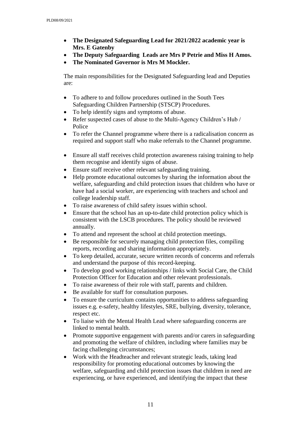- **The Designated Safeguarding Lead for 2021/2022 academic year is Mrs. E Gatenby**
- **The Deputy Safeguarding Leads are Mrs P Petrie and Miss H Amos.**
- **The Nominated Governor is Mrs M Mockler.**

The main responsibilities for the Designated Safeguarding lead and Deputies are:

- To adhere to and follow procedures outlined in the South Tees Safeguarding Children Partnership (STSCP) Procedures.
- To help identify signs and symptoms of abuse.
- Refer suspected cases of abuse to the Multi-Agency Children's Hub / Police
- To refer the Channel programme where there is a radicalisation concern as required and support staff who make referrals to the Channel programme.
- Ensure all staff receives child protection awareness raising training to help them recognise and identify signs of abuse.
- Ensure staff receive other relevant safeguarding training.
- Help promote educational outcomes by sharing the information about the welfare, safeguarding and child protection issues that children who have or have had a social worker, are experiencing with teachers and school and college leadership staff.
- To raise awareness of child safety issues within school.
- Ensure that the school has an up-to-date child protection policy which is consistent with the LSCB procedures. The policy should be reviewed annually.
- To attend and represent the school at child protection meetings.
- Be responsible for securely managing child protection files, compiling reports, recording and sharing information appropriately.
- To keep detailed, accurate, secure written records of concerns and referrals and understand the purpose of this record-keeping.
- To develop good working relationships / links with Social Care, the Child Protection Officer for Education and other relevant professionals.
- To raise awareness of their role with staff, parents and children.
- Be available for staff for consultation purposes.
- To ensure the curriculum contains opportunities to address safeguarding issues e.g. e-safety, healthy lifestyles, SRE, bullying, diversity, tolerance, respect etc.
- To liaise with the Mental Health Lead where safeguarding concerns are linked to mental health.
- Promote supportive engagement with parents and/or carers in safeguarding and promoting the welfare of children, including where families may be facing challenging circumstances;
- Work with the Headteacher and relevant strategic leads, taking lead responsibility for promoting educational outcomes by knowing the welfare, safeguarding and child protection issues that children in need are experiencing, or have experienced, and identifying the impact that these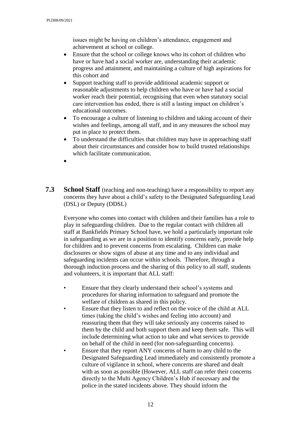issues might be having on children's attendance, engagement and achievement at school or college.

- Ensure that the school or college knows who its cohort of children who have or have had a social worker are, understanding their academic progress and attainment, and maintaining a culture of high aspirations for this cohort and
- Support teaching staff to provide additional academic support or reasonable adjustments to help children who have or have had a social worker reach their potential, recognising that even when statutory social care intervention has ended, there is still a lasting impact on children's educational outcomes.
- To encourage a culture of listening to children and taking account of their wishes and feelings, among all staff, and in any measures the school may put in place to protect them.
- To understand the difficulties that children may have in approaching staff about their circumstances and consider how to build trusted relationships which facilitate communication.
- $\bullet$
- **7.3 School Staff** (teaching and non-teaching) have a responsibility to report any concerns they have about a child's safety to the Designated Safeguarding Lead (DSL) or Deputy (DDSL)

 Everyone who comes into contact with children and their families has a role to play in safeguarding children. Due to the regular contact with children all staff at Bankfields Primary School have, we hold a particularly important role in safeguarding as we are in a position to identify concerns early, provide help for children and to prevent concerns from escalating. Children can make disclosures or show signs of abuse at any time and to any individual and safeguarding incidents can occur within schools. Therefore, through a thorough induction process and the sharing of this policy to all staff, students and volunteers, it is important that ALL staff:

- Ensure that they clearly understand their school's systems and procedures for sharing information to safeguard and promote the welfare of children as shared in this policy.
- Ensure that they listen to and reflect on the voice of the child at ALL times (taking the child's wishes and feeling into account) and reassuring them that they will take seriously any concerns raised to them by the child and both support them and keep them safe. This will include determining what action to take and what services to provide on behalf of the child in need (for non-safeguarding concerns).
- Ensure that they report ANY concerns of harm to any child to the Designated Safeguarding Lead immediately and consistently promote a culture of vigilance in school, where concerns are shared and dealt with as soon as possible (However, ALL staff can refer their concerns directly to the Multi Agency Children's Hub if necessary and the police in the stated incidents above. They should inform the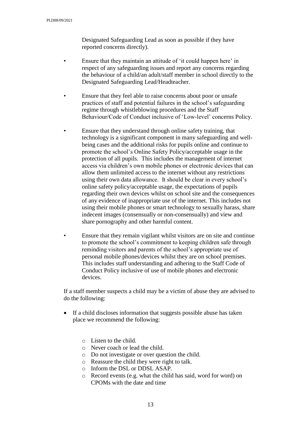Designated Safeguarding Lead as soon as possible if they have reported concerns directly).

- Ensure that they maintain an attitude of 'it could happen here' in respect of any safeguarding issues and report any concerns regarding the behaviour of a child/an adult/staff member in school directly to the Designated Safeguarding Lead/Headteacher.
- Ensure that they feel able to raise concerns about poor or unsafe practices of staff and potential failures in the school's safeguarding regime through whistleblowing procedures and the Staff Behaviour/Code of Conduct inclusive of 'Low-level' concerns Policy.
	- Ensure that they understand through online safety training, that technology is a significant component in many safeguarding and wellbeing cases and the additional risks for pupils online and continue to promote the school's Online Safety Policy/acceptable usage in the protection of all pupils. This includes the management of internet access via children's own mobile phones or electronic devices that can allow them unlimited access to the internet without any restrictions using their own data allowance. It should be clear in every school's online safety policy/acceptable usage, the expectations of pupils regarding their own devices whilst on school site and the consequences of any evidence of inappropriate use of the internet. This includes not using their mobile phones or smart technology to sexually harass, share indecent images (consensually or non-consensually) and view and share pornography and other harmful content.
	- Ensure that they remain vigilant whilst visitors are on site and continue to promote the school's commitment to keeping children safe through reminding visitors and parents of the school's appropriate use of personal mobile phones/devices whilst they are on school premises. This includes staff understanding and adhering to the Staff Code of Conduct Policy inclusive of use of mobile phones and electronic devices.

If a staff member suspects a child may be a victim of abuse they are advised to do the following:

- If a child discloses information that suggests possible abuse has taken place we recommend the following:
	- o Listen to the child.
	- o Never coach or lead the child.
	- o Do not investigate or over question the child.
	- o Reassure the child they were right to talk.
	- o Inform the DSL or DDSL ASAP.
	- o Record events (e.g. what the child has said, word for word) on CPOMs with the date and time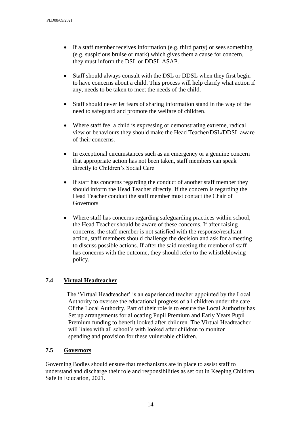- If a staff member receives information (e.g. third party) or sees something (e.g. suspicious bruise or mark) which gives them a cause for concern, they must inform the DSL or DDSL ASAP.
- Staff should always consult with the DSL or DDSL when they first begin to have concerns about a child. This process will help clarify what action if any, needs to be taken to meet the needs of the child.
- Staff should never let fears of sharing information stand in the way of the need to safeguard and promote the welfare of children.
- Where staff feel a child is expressing or demonstrating extreme, radical view or behaviours they should make the Head Teacher/DSL/DDSL aware of their concerns.
- In exceptional circumstances such as an emergency or a genuine concern that appropriate action has not been taken, staff members can speak directly to Children's Social Care
- If staff has concerns regarding the conduct of another staff member they should inform the Head Teacher directly. If the concern is regarding the Head Teacher conduct the staff member must contact the Chair of **Governors**
- Where staff has concerns regarding safeguarding practices within school, the Head Teacher should be aware of these concerns. If after raising concerns, the staff member is not satisfied with the response/resultant action, staff members should challenge the decision and ask for a meeting to discuss possible actions. If after the said meeting the member of staff has concerns with the outcome, they should refer to the whistleblowing policy.

#### **7.4 Virtual Headteacher**

 The 'Virtual Headteacher' is an experienced teacher appointed by the Local Authority to oversee the educational progress of all children under the care Of the Local Authority. Part of their role is to ensure the Local Authority has Set up arrangements for allocating Pupil Premium and Early Years Pupil Premium funding to benefit looked after children. The Virtual Headteacher will liaise with all school's with looked after children to monitor spending and provision for these vulnerable children.

#### **7.5 Governors**

Governing Bodies should ensure that mechanisms are in place to assist staff to understand and discharge their role and responsibilities as set out in Keeping Children Safe in Education, 2021.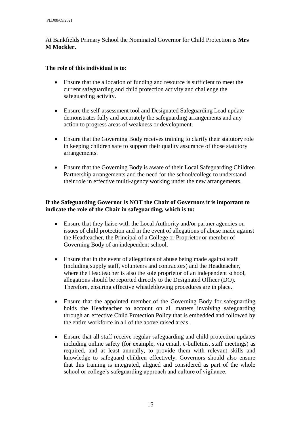At Bankfields Primary School the Nominated Governor for Child Protection is **Mrs M Mockler.** 

#### **The role of this individual is to:**

- Ensure that the allocation of funding and resource is sufficient to meet the current safeguarding and child protection activity and challenge the safeguarding activity.
- Ensure the self-assessment tool and Designated Safeguarding Lead update demonstrates fully and accurately the safeguarding arrangements and any action to progress areas of weakness or development.
- Ensure that the Governing Body receives training to clarify their statutory role in keeping children safe to support their quality assurance of those statutory arrangements.
- Ensure that the Governing Body is aware of their Local Safeguarding Children Partnership arrangements and the need for the school/college to understand their role in effective multi-agency working under the new arrangements.

#### **If the Safeguarding Governor is NOT the Chair of Governors it is important to indicate the role of the Chair in safeguarding, which is to:**

- Ensure that they liaise with the Local Authority and/or partner agencies on issues of child protection and in the event of allegations of abuse made against the Headteacher, the Principal of a College or Proprietor or member of Governing Body of an independent school.
- Ensure that in the event of allegations of abuse being made against staff (including supply staff, volunteers and contractors) and the Headteacher, where the Headteacher is also the sole proprietor of an independent school, allegations should be reported directly to the Designated Officer (DO). Therefore, ensuring effective whistleblowing procedures are in place.
- Ensure that the appointed member of the Governing Body for safeguarding holds the Headteacher to account on all matters involving safeguarding through an effective Child Protection Policy that is embedded and followed by the entire workforce in all of the above raised areas.
- Ensure that all staff receive regular safeguarding and child protection updates including online safety (for example, via email, e-bulletins, staff meetings) as required, and at least annually, to provide them with relevant skills and knowledge to safeguard children effectively. Governors should also ensure that this training is integrated, aligned and considered as part of the whole school or college's safeguarding approach and culture of vigilance.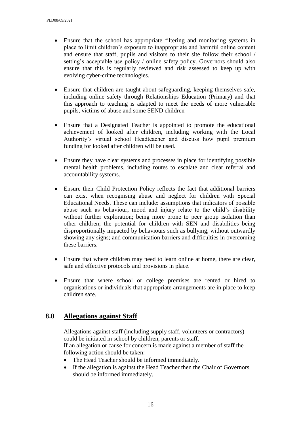- Ensure that the school has appropriate filtering and monitoring systems in place to limit children's exposure to inappropriate and harmful online content and ensure that staff, pupils and visitors to their site follow their school / setting's acceptable use policy / online safety policy. Governors should also ensure that this is regularly reviewed and risk assessed to keep up with evolving cyber-crime technologies.
- Ensure that children are taught about safeguarding, keeping themselves safe, including online safety through Relationships Education (Primary) and that this approach to teaching is adapted to meet the needs of more vulnerable pupils, victims of abuse and some SEND children
- Ensure that a Designated Teacher is appointed to promote the educational achievement of looked after children, including working with the Local Authority's virtual school Headteacher and discuss how pupil premium funding for looked after children will be used.
- Ensure they have clear systems and processes in place for identifying possible mental health problems, including routes to escalate and clear referral and accountability systems.
- Ensure their Child Protection Policy reflects the fact that additional barriers can exist when recognising abuse and neglect for children with Special Educational Needs. These can include: assumptions that indicators of possible abuse such as behaviour, mood and injury relate to the child's disability without further exploration; being more prone to peer group isolation than other children; the potential for children with SEN and disabilities being disproportionally impacted by behaviours such as bullying, without outwardly showing any signs; and communication barriers and difficulties in overcoming these barriers.
- Ensure that where children may need to learn online at home, there are clear, safe and effective protocols and provisions in place.
- Ensure that where school or college premises are rented or hired to organisations or individuals that appropriate arrangements are in place to keep children safe.

## **8.0 Allegations against Staff**

Allegations against staff (including supply staff, volunteers or contractors) could be initiated in school by children, parents or staff. If an allegation or cause for concern is made against a member of staff the following action should be taken:

- The Head Teacher should be informed immediately.
- If the allegation is against the Head Teacher then the Chair of Governors should be informed immediately.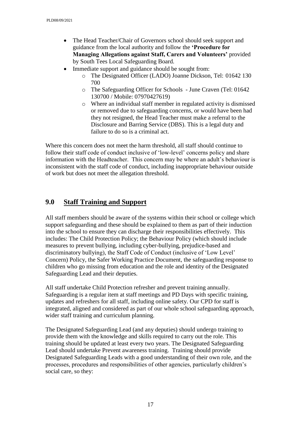- The Head Teacher/Chair of Governors school should seek support and guidance from the local authority and follow the **'Procedure for Managing Allegations against Staff, Carers and Volunteers'** provided by South Tees Local Safeguarding Board.
	- Immediate support and guidance should be sought from:
		- o The Designated Officer (LADO) Joanne Dickson, Tel: 01642 130 700
		- o The Safeguarding Officer for Schools June Craven (Tel: 01642 130700 / Mobile: 07970427619)
		- o Where an individual staff member in regulated activity is dismissed or removed due to safeguarding concerns, or would have been had they not resigned, the Head Teacher must make a referral to the Disclosure and Barring Service (DBS). This is a legal duty and failure to do so is a criminal act.

Where this concern does not meet the harm threshold, all staff should continue to follow their staff code of conduct inclusive of 'low-level' concerns policy and share information with the Headteacher. This concern may be where an adult's behaviour is inconsistent with the staff code of conduct, including inappropriate behaviour outside of work but does not meet the allegation threshold.

# **9.0 Staff Training and Support**

All staff members should be aware of the systems within their school or college which support safeguarding and these should be explained to them as part of their induction into the school to ensure they can discharge their responsibilities effectively. This includes: The Child Protection Policy; the Behaviour Policy (which should include measures to prevent bullying, including cyber-bullying, prejudice-based and discriminatory bullying), the Staff Code of Conduct (inclusive of 'Low Level' Concern) Policy, the Safer Working Practice Document, the safeguarding response to children who go missing from education and the role and identity of the Designated Safeguarding Lead and their deputies.

All staff undertake Child Protection refresher and prevent training annually. Safeguarding is a regular item at staff meetings and PD Days with specific training, updates and refreshers for all staff, including online safety. Our CPD for staff is integrated, aligned and considered as part of our whole school safeguarding approach, wider staff training and curriculum planning.

The Designated Safeguarding Lead (and any deputies) should undergo training to provide them with the knowledge and skills required to carry out the role. This training should be updated at least every two years. The Designated Safeguarding Lead should undertake Prevent awareness training. Training should provide Designated Safeguarding Leads with a good understanding of their own role, and the processes, procedures and responsibilities of other agencies, particularly children's social care, so they: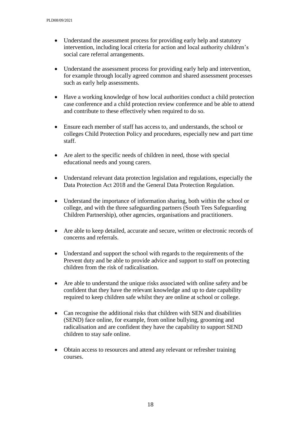- Understand the assessment process for providing early help and statutory intervention, including local criteria for action and local authority children's social care referral arrangements.
- Understand the assessment process for providing early help and intervention, for example through locally agreed common and shared assessment processes such as early help assessments.
- Have a working knowledge of how local authorities conduct a child protection case conference and a child protection review conference and be able to attend and contribute to these effectively when required to do so.
- Ensure each member of staff has access to, and understands, the school or colleges Child Protection Policy and procedures, especially new and part time staff.
- Are alert to the specific needs of children in need, those with special educational needs and young carers.
- Understand relevant data protection legislation and regulations, especially the Data Protection Act 2018 and the General Data Protection Regulation.
- Understand the importance of information sharing, both within the school or college, and with the three safeguarding partners (South Tees Safeguarding Children Partnership), other agencies, organisations and practitioners.
- Are able to keep detailed, accurate and secure, written or electronic records of concerns and referrals.
- Understand and support the school with regards to the requirements of the Prevent duty and be able to provide advice and support to staff on protecting children from the risk of radicalisation.
- Are able to understand the unique risks associated with online safety and be confident that they have the relevant knowledge and up to date capability required to keep children safe whilst they are online at school or college.
- Can recognise the additional risks that children with SEN and disabilities (SEND) face online, for example, from online bullying, grooming and radicalisation and are confident they have the capability to support SEND children to stay safe online.
- Obtain access to resources and attend any relevant or refresher training courses.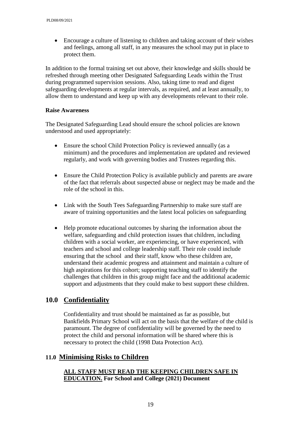Encourage a culture of listening to children and taking account of their wishes and feelings, among all staff, in any measures the school may put in place to protect them.

In addition to the formal training set out above, their knowledge and skills should be refreshed through meeting other Designated Safeguarding Leads within the Trust during programmed supervision sessions. Also, taking time to read and digest safeguarding developments at regular intervals, as required, and at least annually, to allow them to understand and keep up with any developments relevant to their role.

#### **Raise Awareness**

The Designated Safeguarding Lead should ensure the school policies are known understood and used appropriately:

- Ensure the school Child Protection Policy is reviewed annually (as a minimum) and the procedures and implementation are updated and reviewed regularly, and work with governing bodies and Trustees regarding this.
- Ensure the Child Protection Policy is available publicly and parents are aware of the fact that referrals about suspected abuse or neglect may be made and the role of the school in this.
- Link with the South Tees Safeguarding Partnership to make sure staff are aware of training opportunities and the latest local policies on safeguarding
- Help promote educational outcomes by sharing the information about the welfare, safeguarding and child protection issues that children, including children with a social worker, are experiencing, or have experienced, with teachers and school and college leadership staff. Their role could include ensuring that the school and their staff, know who these children are, understand their academic progress and attainment and maintain a culture of high aspirations for this cohort; supporting teaching staff to identify the challenges that children in this group might face and the additional academic support and adjustments that they could make to best support these children.

# **10.0 Confidentiality**

Confidentiality and trust should be maintained as far as possible, but Bankfields Primary School will act on the basis that the welfare of the child is paramount. The degree of confidentiality will be governed by the need to protect the child and personal information will be shared where this is necessary to protect the child (1998 Data Protection Act).

## **11.0 Minimising Risks to Children**

#### **ALL STAFF MUST READ THE KEEPING CHILDREN SAFE IN EDUCATION. For School and College (2021) Document**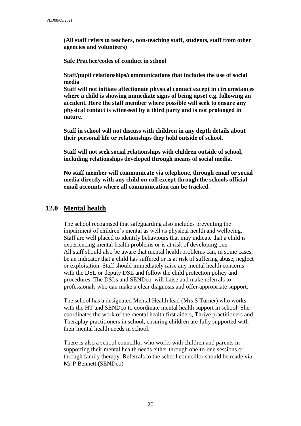**(All staff refers to teachers, non-teaching staff, students, staff from other agencies and volunteers)**

#### **Safe Practice/codes of conduct in school**

**Staff/pupil relationships/communications that includes the use of social media**

**Staff will not initiate affectionate physical contact except in circumstances where a child is showing immediate signs of being upset e.g. following an accident. Here the staff member where possible will seek to ensure any physical contact is witnessed by a third party and is not prolonged in nature.**

**Staff in school will not discuss with children in any depth details about their personal life or relationships they hold outside of school.**

**Staff will not seek social relationships with children outside of school, including relationships developed through means of social media.**

**No staff member will communicate via telephone, through email or social media directly with any child on roll except through the schools official email accounts where all communication can be tracked.**

### **12.0 Mental health**

The school recognised that safeguarding also includes preventing the impairment of children's mental as well as physical health and wellbeing. Staff are well placed to identify behaviours that may indicate that a child is experiencing mental health problems or is at risk of developing one. All staff should also be aware that mental health problems can, in some cases, be an indicator that a child has suffered or is at risk of suffering abuse, neglect or exploitation. Staff should immediately raise any mental health concerns with the DSL or deputy DSL and follow the child protection policy and procedures. The DSLs and SENDco will liaise and make referrals to professionals who can make a clear diagnosis and offer appropriate support.

The school has a designated Mental Health lead (Mrs S Turner) who works with the HT and SENDco to coordinate mental health support in school. She coordinates the work of the mental health first aiders, Thrive practitioners and Theraplay practitioners in school, ensuring children are fully supported with their mental health needs in school.

There is also a school councillor who works with children and parents in supporting their mental health needs either through one-to-one sessions or through family therapy. Referrals to the school councillor should be made via Mr P Bennett (SENDco)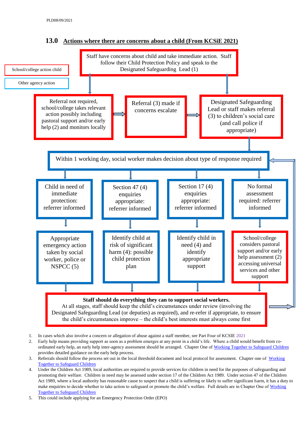

**13.0 Actions where there are concerns about a child (From KCSiE 2021)**

- 1. In cases which also involve a concern or allegation of abuse against a staff member, see Part Four of KCSIE 2021
- 2. Early help means providing support as soon as a problem emerges at any point in a child's life. Where a child would benefit from co-ordinated early help, an early help inter-agency assessment should be arranged. Chapter One of [Working Together to Safeguard](https://www.gov.uk/government/publications/working-together-to-safeguard-children--2) Children provides detailed guidance on the early help process.
- 3. Referrals should follow the process set out in the local threshold document and local protocol for assessment. Chapter one of Working [Together to Safeguard Children](https://www.gov.uk/government/publications/working-together-to-safeguard-children--2)
- 4. Under the Children Act 1989, local authorities are required to provide services for children in need for the purposes of safeguarding and promoting their welfare. Children in need may be assessed under section 17 of the Children Act 1989. Under section 47 of the Children Act 1989, where a local authority has reasonable cause to suspect that a child is suffering or likely to suffer significant harm, it has a duty to make enquiries to decide whether to take action to safeguard or promote the child's welfare. Full details are in Chapter One of [Working](https://www.gov.uk/government/publications/working-together-to-safeguard-children--2)  [Together to Safeguard Children](https://www.gov.uk/government/publications/working-together-to-safeguard-children--2)
- 5. This could include applying for an Emergency Protection Order (EPO)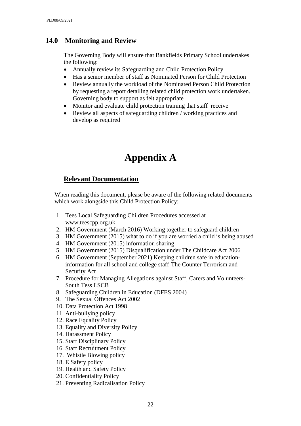## **14.0 Monitoring and Review**

The Governing Body will ensure that Bankfields Primary School undertakes the following:

- Annually review its Safeguarding and Child Protection Policy
- Has a senior member of staff as Nominated Person for Child Protection
- Review annually the workload of the Nominated Person Child Protection by requesting a report detailing related child protection work undertaken. Governing body to support as felt appropriate
- Monitor and evaluate child protection training that staff receive
- Review all aspects of safeguarding children / working practices and develop as required

# **Appendix A**

## **Relevant Documentation**

When reading this document, please be aware of the following related documents which work alongside this Child Protection Policy:

- 1. Tees Local Safeguarding Children Procedures accessed at www.teescpp.org.uk
- 2. HM Government (March 2016) Working together to safeguard children
- 3. HM Government (2015) what to do if you are worried a child is being abused
- 4. HM Government (2015) information sharing
- 5. HM Government (2015) Disqualification under The Childcare Act 2006
- 6. HM Government (September 2021) Keeping children safe in educationinformation for all school and college staff-The Counter Terrorism and Security Act
- 7. Procedure for Managing Allegations against Staff, Carers and Volunteers-South Tess LSCB
- 8. Safeguarding Children in Education (DFES 2004)
- 9. The Sexual Offences Act 2002
- 10. Data Protection Act 1998
- 11. Anti-bullying policy
- 12. Race Equality Policy
- 13. Equality and Diversity Policy
- 14. Harassment Policy
- 15. Staff Disciplinary Policy
- 16. Staff Recruitment Policy
- 17. Whistle Blowing policy
- 18. E Safety policy
- 19. Health and Safety Policy
- 20. Confidentiality Policy
- 21. Preventing Radicalisation Policy